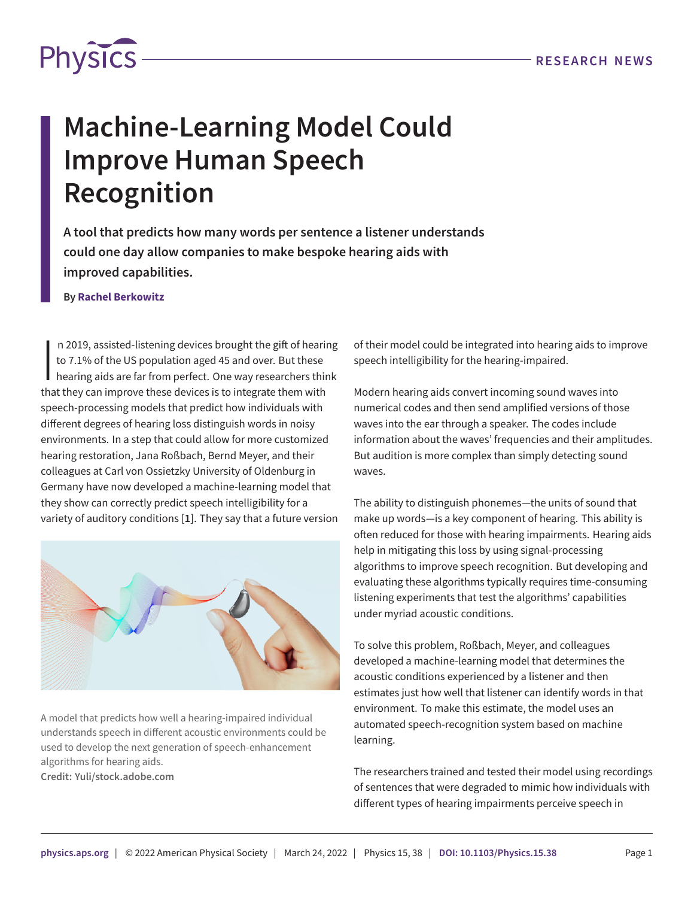

## **Machine-Learning Model Could Improve Human Speech Recognition**

**A tool that predicts how many words per sentence a listener understands could one day allow companies to make bespoke hearing aids with improved capabilities.**

## **By Rachel Berkowitz**

n 2019, assisted-listening devices brought the gift of heari<br>to 7.1% of the US population aged 45 and over. But these<br>hearing aids are far from perfect. One way researchers this<br>that they can improve these devices is to in n 2019, assisted-listening devices brought the gift of hearing to 7.1% of the US population aged 45 and over. But these hearing aids are far from perfect. One way researchers think speech-processing models that predict how individuals with different degrees of hearing loss distinguish words in noisy environments. In a step that could allow for more customized hearing restoration, Jana Roßbach, Bernd Meyer, and their colleagues at Carl von Ossietzky University of Oldenburg in Germany have now developed a machine-learning model that they show can correctly predict speech intelligibility for a variety of auditory conditions [**[1](#page-1-0)**]. They say that a future version



A model that predicts how well a hearing-impaired individual understands speech in different acoustic environments could be used to develop the next generation of speech-enhancement algorithms for hearing aids. **Credit: Yuli/stock.adobe.com**

of their model could be integrated into hearing aids to improve speech intelligibility for the hearing-impaired.

Modern hearing aids convert incoming sound waves into numerical codes and then send amplified versions of those waves into the ear through a speaker. The codes include information about the waves' frequencies and their amplitudes. But audition is more complex than simply detecting sound waves.

The ability to distinguish phonemes—the units of sound that make up words—is a key component of hearing. This ability is often reduced for those with hearing impairments. Hearing aids help in mitigating this loss by using signal-processing algorithms to improve speech recognition. But developing and evaluating these algorithms typically requires time-consuming listening experiments that test the algorithms' capabilities under myriad acoustic conditions.

To solve this problem, Roßbach, Meyer, and colleagues developed a machine-learning model that determines the acoustic conditions experienced by a listener and then estimates just how well that listener can identify words in that environment. To make this estimate, the model uses an automated speech-recognition system based on machine learning.

The researchers trained and tested their model using recordings of sentences that were degraded to mimic how individuals with different types of hearing impairments perceive speech in